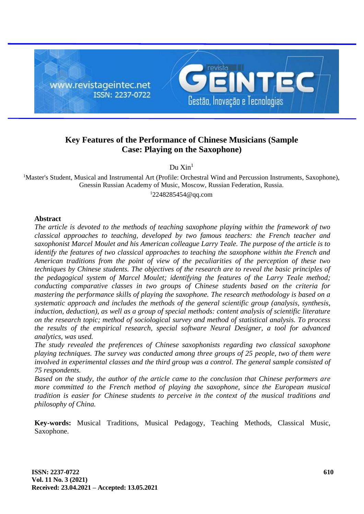

# **Key Features of the Performance of Chinese Musicians (Sample Case: Playing on the Saxophone)**

 $Du$  Xin<sup>1</sup>

<sup>1</sup>Master's Student, Musical and Instrumental Art (Profile: Orchestral Wind and Percussion Instruments, Saxophone), Gnessin Russian Academy of Music, Moscow, Russian Federation, Russia.  $12248285454@qq.com$  $12248285454@qq.com$ 

# **Abstract**

*The article is devoted to the methods of teaching saxophone playing within the framework of two classical approaches to teaching, developed by two famous teachers: the French teacher and saxophonist Marcel Moulet and his American colleague Larry Teale. The purpose of the article is to identify the features of two classical approaches to teaching the saxophone within the French and American traditions from the point of view of the peculiarities of the perception of these two techniques by Chinese students. The objectives of the research are to reveal the basic principles of the pedagogical system of Marcel Moulet; identifying the features of the Larry Teale method; conducting comparative classes in two groups of Chinese students based on the criteria for mastering the performance skills of playing the saxophone. The research methodology is based on a systematic approach and includes the methods of the general scientific group (analysis, synthesis, induction, deduction), as well as a group of special methods: content analysis of scientific literature on the research topic; method of sociological survey and method of statistical analysis. To process the results of the empirical research, special software Neural Designer, a tool for advanced analytics, was used.*

*The study revealed the preferences of Chinese saxophonists regarding two classical saxophone playing techniques. The survey was conducted among three groups of 25 people, two of them were involved in experimental classes and the third group was a control. The general sample consisted of 75 respondents.*

*Based on the study, the author of the article came to the conclusion that Chinese performers are more committed to the French method of playing the saxophone, since the European musical tradition is easier for Chinese students to perceive in the context of the musical traditions and philosophy of China.*

**Key-words:** Musical Traditions, Musical Pedagogy, Teaching Methods, Classical Music, Saxophone.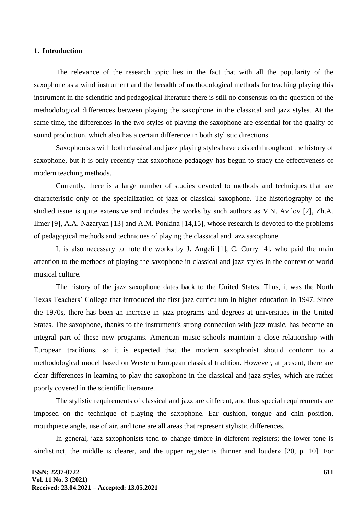### **1. Introduction**

The relevance of the research topic lies in the fact that with all the popularity of the saxophone as a wind instrument and the breadth of methodological methods for teaching playing this instrument in the scientific and pedagogical literature there is still no consensus on the question of the methodological differences between playing the saxophone in the classical and jazz styles. At the same time, the differences in the two styles of playing the saxophone are essential for the quality of sound production, which also has a certain difference in both stylistic directions.

Saxophonists with both classical and jazz playing styles have existed throughout the history of saxophone, but it is only recently that saxophone pedagogy has begun to study the effectiveness of modern teaching methods.

Currently, there is a large number of studies devoted to methods and techniques that are characteristic only of the specialization of jazz or classical saxophone. The historiography of the studied issue is quite extensive and includes the works by such authors as V.N. Avilov [2], Zh.A. Ilmer [9], A.A. Nazaryan [13] and A.M. Ponkina [14,15], whose research is devoted to the problems of pedagogical methods and techniques of playing the classical and jazz saxophone.

It is also necessary to note the works by J. Angeli [1], C. Curry [4], who paid the main attention to the methods of playing the saxophone in classical and jazz styles in the context of world musical culture.

The history of the jazz saxophone dates back to the United States. Thus, it was the North Texas Teachers' College that introduced the first jazz curriculum in higher education in 1947. Since the 1970s, there has been an increase in jazz programs and degrees at universities in the United States. The saxophone, thanks to the instrument's strong connection with jazz music, has become an integral part of these new programs. American music schools maintain a close relationship with European traditions, so it is expected that the modern saxophonist should conform to a methodological model based on Western European classical tradition. However, at present, there are clear differences in learning to play the saxophone in the classical and jazz styles, which are rather poorly covered in the scientific literature.

The stylistic requirements of classical and jazz are different, and thus special requirements are imposed on the technique of playing the saxophone. Ear cushion, tongue and chin position, mouthpiece angle, use of air, and tone are all areas that represent stylistic differences.

In general, jazz saxophonists tend to change timbre in different registers; the lower tone is «indistinct, the middle is clearer, and the upper register is thinner and louder» [20, p. 10]. For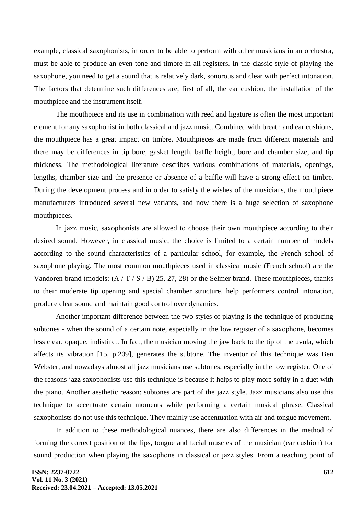example, classical saxophonists, in order to be able to perform with other musicians in an orchestra, must be able to produce an even tone and timbre in all registers. In the classic style of playing the saxophone, you need to get a sound that is relatively dark, sonorous and clear with perfect intonation. The factors that determine such differences are, first of all, the ear cushion, the installation of the mouthpiece and the instrument itself.

The mouthpiece and its use in combination with reed and ligature is often the most important element for any saxophonist in both classical and jazz music. Combined with breath and ear cushions, the mouthpiece has a great impact on timbre. Mouthpieces are made from different materials and there may be differences in tip bore, gasket length, baffle height, bore and chamber size, and tip thickness. The methodological literature describes various combinations of materials, openings, lengths, chamber size and the presence or absence of a baffle will have a strong effect on timbre. During the development process and in order to satisfy the wishes of the musicians, the mouthpiece manufacturers introduced several new variants, and now there is a huge selection of saxophone mouthpieces.

In jazz music, saxophonists are allowed to choose their own mouthpiece according to their desired sound. However, in classical music, the choice is limited to a certain number of models according to the sound characteristics of a particular school, for example, the French school of saxophone playing. The most common mouthpieces used in classical music (French school) are the Vandoren brand (models:  $(A / T / S / B)$  25, 27, 28) or the Selmer brand. These mouthpieces, thanks to their moderate tip opening and special chamber structure, help performers control intonation, produce clear sound and maintain good control over dynamics.

Another important difference between the two styles of playing is the technique of producing subtones - when the sound of a certain note, especially in the low register of a saxophone, becomes less clear, opaque, indistinct. In fact, the musician moving the jaw back to the tip of the uvula, which affects its vibration [15, p.209], generates the subtone. The inventor of this technique was Ben Webster, and nowadays almost all jazz musicians use subtones, especially in the low register. One of the reasons jazz saxophonists use this technique is because it helps to play more softly in a duet with the piano. Another aesthetic reason: subtones are part of the jazz style. Jazz musicians also use this technique to accentuate certain moments while performing a certain musical phrase. Classical saxophonists do not use this technique. They mainly use accentuation with air and tongue movement.

In addition to these methodological nuances, there are also differences in the method of forming the correct position of the lips, tongue and facial muscles of the musician (ear cushion) for sound production when playing the saxophone in classical or jazz styles. From a teaching point of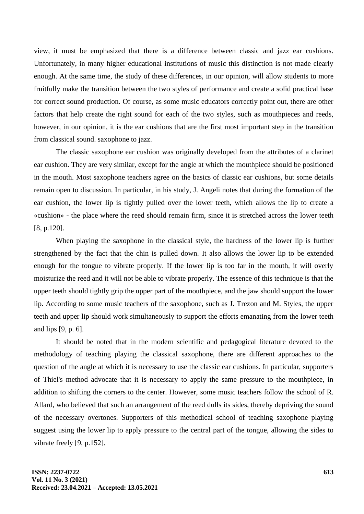view, it must be emphasized that there is a difference between classic and jazz ear cushions. Unfortunately, in many higher educational institutions of music this distinction is not made clearly enough. At the same time, the study of these differences, in our opinion, will allow students to more fruitfully make the transition between the two styles of performance and create a solid practical base for correct sound production. Of course, as some music educators correctly point out, there are other factors that help create the right sound for each of the two styles, such as mouthpieces and reeds, however, in our opinion, it is the ear cushions that are the first most important step in the transition from classical sound. saxophone to jazz.

The classic saxophone ear cushion was originally developed from the attributes of a clarinet ear cushion. They are very similar, except for the angle at which the mouthpiece should be positioned in the mouth. Most saxophone teachers agree on the basics of classic ear cushions, but some details remain open to discussion. In particular, in his study, J. Angeli notes that during the formation of the ear cushion, the lower lip is tightly pulled over the lower teeth, which allows the lip to create a «cushion» - the place where the reed should remain firm, since it is stretched across the lower teeth [8, p.120].

When playing the saxophone in the classical style, the hardness of the lower lip is further strengthened by the fact that the chin is pulled down. It also allows the lower lip to be extended enough for the tongue to vibrate properly. If the lower lip is too far in the mouth, it will overly moisturize the reed and it will not be able to vibrate properly. The essence of this technique is that the upper teeth should tightly grip the upper part of the mouthpiece, and the jaw should support the lower lip. According to some music teachers of the saxophone, such as J. Trezon and M. Styles, the upper teeth and upper lip should work simultaneously to support the efforts emanating from the lower teeth and lips [9, p. 6].

It should be noted that in the modern scientific and pedagogical literature devoted to the methodology of teaching playing the classical saxophone, there are different approaches to the question of the angle at which it is necessary to use the classic ear cushions. In particular, supporters of Thiel's method advocate that it is necessary to apply the same pressure to the mouthpiece, in addition to shifting the corners to the center. However, some music teachers follow the school of R. Allard, who believed that such an arrangement of the reed dulls its sides, thereby depriving the sound of the necessary overtones. Supporters of this methodical school of teaching saxophone playing suggest using the lower lip to apply pressure to the central part of the tongue, allowing the sides to vibrate freely [9, p.152].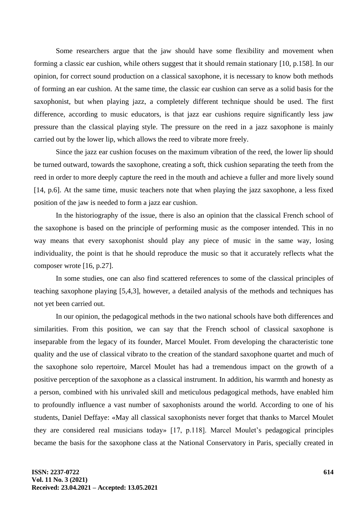Some researchers argue that the jaw should have some flexibility and movement when forming a classic ear cushion, while others suggest that it should remain stationary [10, p.158]. In our opinion, for correct sound production on a classical saxophone, it is necessary to know both methods of forming an ear cushion. At the same time, the classic ear cushion can serve as a solid basis for the saxophonist, but when playing jazz, a completely different technique should be used. The first difference, according to music educators, is that jazz ear cushions require significantly less jaw pressure than the classical playing style. The pressure on the reed in a jazz saxophone is mainly carried out by the lower lip, which allows the reed to vibrate more freely.

Since the jazz ear cushion focuses on the maximum vibration of the reed, the lower lip should be turned outward, towards the saxophone, creating a soft, thick cushion separating the teeth from the reed in order to more deeply capture the reed in the mouth and achieve a fuller and more lively sound [14, p.6]. At the same time, music teachers note that when playing the jazz saxophone, a less fixed position of the jaw is needed to form a jazz ear cushion.

In the historiography of the issue, there is also an opinion that the classical French school of the saxophone is based on the principle of performing music as the composer intended. This in no way means that every saxophonist should play any piece of music in the same way, losing individuality, the point is that he should reproduce the music so that it accurately reflects what the composer wrote [16, p.27].

In some studies, one can also find scattered references to some of the classical principles of teaching saxophone playing [5,4,3], however, a detailed analysis of the methods and techniques has not yet been carried out.

In our opinion, the pedagogical methods in the two national schools have both differences and similarities. From this position, we can say that the French school of classical saxophone is inseparable from the legacy of its founder, Marcel Moulet. From developing the characteristic tone quality and the use of classical vibrato to the creation of the standard saxophone quartet and much of the saxophone solo repertoire, Marcel Moulet has had a tremendous impact on the growth of a positive perception of the saxophone as a classical instrument. In addition, his warmth and honesty as a person, combined with his unrivaled skill and meticulous pedagogical methods, have enabled him to profoundly influence a vast number of saxophonists around the world. According to one of his students, Daniel Deffaye: «May all classical saxophonists never forget that thanks to Marcel Moulet they are considered real musicians today» [17, p.118]. Marcel Moulet's pedagogical principles became the basis for the saxophone class at the National Conservatory in Paris, specially created in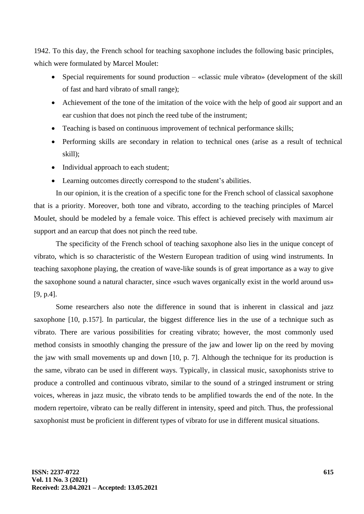1942. To this day, the French school for teaching saxophone includes the following basic principles, which were formulated by Marcel Moulet:

- Special requirements for sound production «classic mule vibrato» (development of the skill of fast and hard vibrato of small range);
- Achievement of the tone of the imitation of the voice with the help of good air support and an ear cushion that does not pinch the reed tube of the instrument;
- Teaching is based on continuous improvement of technical performance skills;
- Performing skills are secondary in relation to technical ones (arise as a result of technical skill);
- Individual approach to each student;
- Learning outcomes directly correspond to the student's abilities.

In our opinion, it is the creation of a specific tone for the French school of classical saxophone that is a priority. Moreover, both tone and vibrato, according to the teaching principles of Marcel Moulet, should be modeled by a female voice. This effect is achieved precisely with maximum air support and an earcup that does not pinch the reed tube.

The specificity of the French school of teaching saxophone also lies in the unique concept of vibrato, which is so characteristic of the Western European tradition of using wind instruments. In teaching saxophone playing, the creation of wave-like sounds is of great importance as a way to give the saxophone sound a natural character, since «such waves organically exist in the world around us» [9, p.4].

Some researchers also note the difference in sound that is inherent in classical and jazz saxophone [10, p.157]. In particular, the biggest difference lies in the use of a technique such as vibrato. There are various possibilities for creating vibrato; however, the most commonly used method consists in smoothly changing the pressure of the jaw and lower lip on the reed by moving the jaw with small movements up and down [10, p. 7]. Although the technique for its production is the same, vibrato can be used in different ways. Typically, in classical music, saxophonists strive to produce a controlled and continuous vibrato, similar to the sound of a stringed instrument or string voices, whereas in jazz music, the vibrato tends to be amplified towards the end of the note. In the modern repertoire, vibrato can be really different in intensity, speed and pitch. Thus, the professional saxophonist must be proficient in different types of vibrato for use in different musical situations.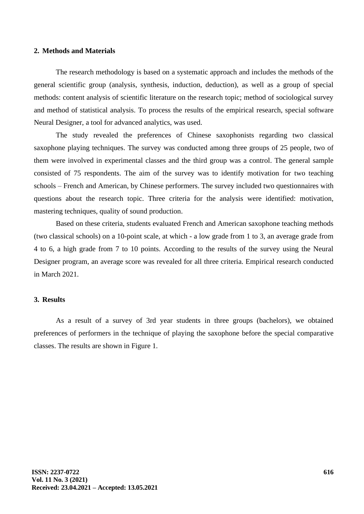### **2. Methods and Materials**

The research methodology is based on a systematic approach and includes the methods of the general scientific group (analysis, synthesis, induction, deduction), as well as a group of special methods: content analysis of scientific literature on the research topic; method of sociological survey and method of statistical analysis. To process the results of the empirical research, special software Neural Designer, a tool for advanced analytics, was used.

The study revealed the preferences of Chinese saxophonists regarding two classical saxophone playing techniques. The survey was conducted among three groups of 25 people, two of them were involved in experimental classes and the third group was a control. The general sample consisted of 75 respondents. The aim of the survey was to identify motivation for two teaching schools – French and American, by Chinese performers. The survey included two questionnaires with questions about the research topic. Three criteria for the analysis were identified: motivation, mastering techniques, quality of sound production.

Based on these criteria, students evaluated French and American saxophone teaching methods (two classical schools) on a 10-point scale, at which - a low grade from 1 to 3, an average grade from 4 to 6, a high grade from 7 to 10 points. According to the results of the survey using the Neural Designer program, an average score was revealed for all three criteria. Empirical research conducted in March 2021.

# **3. Results**

As a result of a survey of 3rd year students in three groups (bachelors), we obtained preferences of performers in the technique of playing the saxophone before the special comparative classes. The results are shown in Figure 1.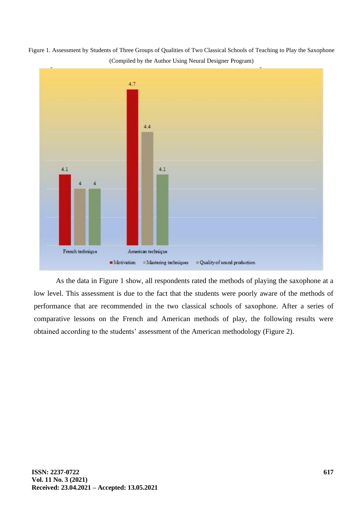Figure 1. Assessment by Students of Three Groups of Qualities of Two Classical Schools of Teaching to Play the Saxophone (Compiled by the Author Using Neural Designer Program)



As the data in Figure 1 show, all respondents rated the methods of playing the saxophone at a low level. This assessment is due to the fact that the students were poorly aware of the methods of performance that are recommended in the two classical schools of saxophone. After a series of comparative lessons on the French and American methods of play, the following results were obtained according to the students' assessment of the American methodology (Figure 2).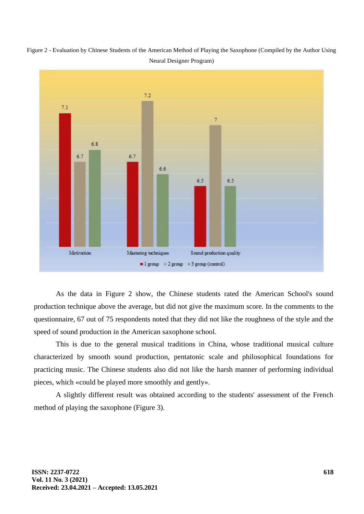

Figure 2 - Evaluation by Chinese Students of the American Method of Playing the Saxophone (Compiled by the Author Using Neural Designer Program)

As the data in Figure 2 show, the Chinese students rated the American School's sound production technique above the average, but did not give the maximum score. In the comments to the questionnaire, 67 out of 75 respondents noted that they did not like the roughness of the style and the speed of sound production in the American saxophone school.

This is due to the general musical traditions in China, whose traditional musical culture characterized by smooth sound production, pentatonic scale and philosophical foundations for practicing music. The Chinese students also did not like the harsh manner of performing individual pieces, which «could be played more smoothly and gently».

A slightly different result was obtained according to the students' assessment of the French method of playing the saxophone (Figure 3).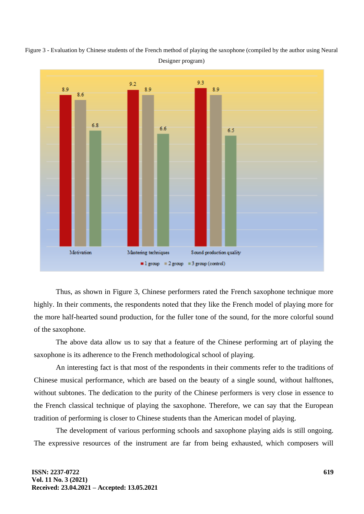



Thus, as shown in Figure 3, Chinese performers rated the French saxophone technique more highly. In their comments, the respondents noted that they like the French model of playing more for the more half-hearted sound production, for the fuller tone of the sound, for the more colorful sound of the saxophone.

The above data allow us to say that a feature of the Chinese performing art of playing the saxophone is its adherence to the French methodological school of playing.

An interesting fact is that most of the respondents in their comments refer to the traditions of Chinese musical performance, which are based on the beauty of a single sound, without halftones, without subtones. The dedication to the purity of the Chinese performers is very close in essence to the French classical technique of playing the saxophone. Therefore, we can say that the European tradition of performing is closer to Chinese students than the American model of playing.

The development of various performing schools and saxophone playing aids is still ongoing. The expressive resources of the instrument are far from being exhausted, which composers will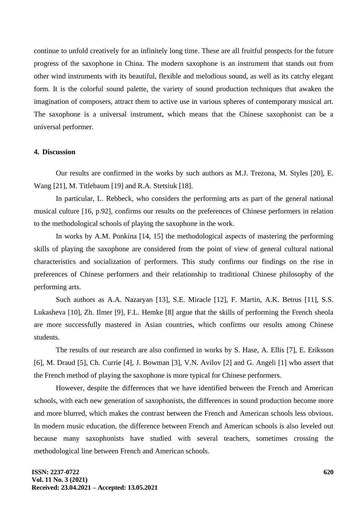continue to unfold creatively for an infinitely long time. These are all fruitful prospects for the future progress of the saxophone in China. The modern saxophone is an instrument that stands out from other wind instruments with its beautiful, flexible and melodious sound, as well as its catchy elegant form. It is the colorful sound palette, the variety of sound production techniques that awaken the imagination of composers, attract them to active use in various spheres of contemporary musical art. The saxophone is a universal instrument, which means that the Chinese saxophonist can be a universal performer.

## **4. Discussion**

Our results are confirmed in the works by such authors as M.J. Trezona, M. Styles [20], E. Wang [21], M. Titlebaum [19] and R.A. Stetsiuk [18].

In particular, L. Rebbeck, who considers the performing arts as part of the general national musical culture [16, p.92], confirms our results on the preferences of Chinese performers in relation to the methodological schools of playing the saxophone in the work.

In works by A.M. Ponkina [14, 15] the methodological aspects of mastering the performing skills of playing the saxophone are considered from the point of view of general cultural national characteristics and socialization of performers. This study confirms our findings on the rise in preferences of Chinese performers and their relationship to traditional Chinese philosophy of the performing arts.

Such authors as A.A. Nazaryan [13], S.E. Miracle [12], F. Martin, A.K. Betrus [11], S.S. Lukasheva [10], Zh. Ilmer [9], F.L. Hemke [8] argue that the skills of performing the French sheola are more successfully mastered in Asian countries, which confirms our results among Chinese students.

The results of our research are also confirmed in works by S. Hase, A. Ellis [7], E. Eriksson [6], M. Draud [5], Ch. Currie [4], J. Bowman [3], V.N. Avilov [2] and G. Angeli [1] who assert that the French method of playing the saxophone is more typical for Chinese performers.

However, despite the differences that we have identified between the French and American schools, with each new generation of saxophonists, the differences in sound production become more and more blurred, which makes the contrast between the French and American schools less obvious. In modern music education, the difference between French and American schools is also leveled out because many saxophonists have studied with several teachers, sometimes crossing the methodological line between French and American schools.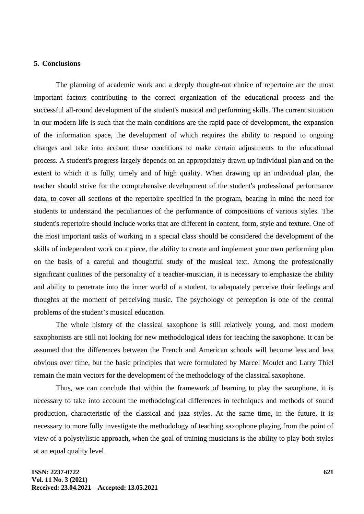### **5. Conclusions**

The planning of academic work and a deeply thought-out choice of repertoire are the most important factors contributing to the correct organization of the educational process and the successful all-round development of the student's musical and performing skills. The current situation in our modern life is such that the main conditions are the rapid pace of development, the expansion of the information space, the development of which requires the ability to respond to ongoing changes and take into account these conditions to make certain adjustments to the educational process. A student's progress largely depends on an appropriately drawn up individual plan and on the extent to which it is fully, timely and of high quality. When drawing up an individual plan, the teacher should strive for the comprehensive development of the student's professional performance data, to cover all sections of the repertoire specified in the program, bearing in mind the need for students to understand the peculiarities of the performance of compositions of various styles. The student's repertoire should include works that are different in content, form, style and texture. One of the most important tasks of working in a special class should be considered the development of the skills of independent work on a piece, the ability to create and implement your own performing plan on the basis of a careful and thoughtful study of the musical text. Among the professionally significant qualities of the personality of a teacher-musician, it is necessary to emphasize the ability and ability to penetrate into the inner world of a student, to adequately perceive their feelings and thoughts at the moment of perceiving music. The psychology of perception is one of the central problems of the student's musical education.

The whole history of the classical saxophone is still relatively young, and most modern saxophonists are still not looking for new methodological ideas for teaching the saxophone. It can be assumed that the differences between the French and American schools will become less and less obvious over time, but the basic principles that were formulated by Marcel Moulet and Larry Thiel remain the main vectors for the development of the methodology of the classical saxophone.

Thus, we can conclude that within the framework of learning to play the saxophone, it is necessary to take into account the methodological differences in techniques and methods of sound production, characteristic of the classical and jazz styles. At the same time, in the future, it is necessary to more fully investigate the methodology of teaching saxophone playing from the point of view of a polystylistic approach, when the goal of training musicians is the ability to play both styles at an equal quality level.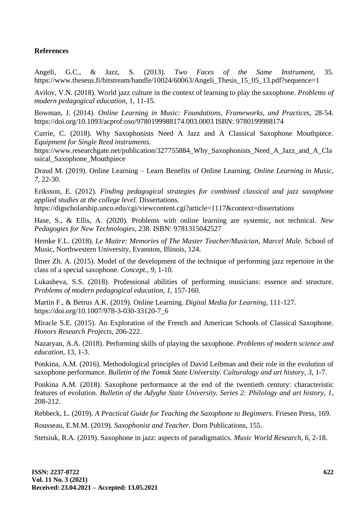# **References**

Angeli, G.C., & Jazz, S. (2013). *Two Faces of the Same Instrument,* 35*.* https://www.theseus.fi/bitstream/handle/10024/60063/Angeli\_Thesis\_15\_05\_13.pdf?sequence=1

Avilov, V.N. (2018). World jazz culture in the context of learning to play the saxophone. *Problems of modern pedagogical education*, 1, 11-15.

Bowman, J. (2014). *Online Learning in Music: Foundations, Frameworks, and Practices*, 28-54. https://doi.org/10.1093/acprof:oso/9780199988174.003.0003 ISBN: 9780199988174

Currie, C. (2018). Why Saxophonists Need A Jazz and A Classical Saxophone Mouthpiece. *Equipment for Single Reed instruments.*

https://www.researchgate.net/publication/327755884 Why Saxophonists Need A Jazz and A Cla [ssical\\_Saxophone\\_Mouthpiece](https://www.researchgate.net/publication/327755884_Why_Saxophonists_Need_A_Jazz_and_A_Classical_Saxophone_Mouthpiece)

Draud M. (2019). Online Learning – Learn Benefits of Online Learning. *Online Learning in Music, 7*, 22-30.

Eriksson, E. (2012). *Finding pedagogical strategies for combined classical and jazz saxophone applied studies at the college level.* Dissertations.

https://digscholarship.unco.edu/cgi/viewcontent.cgi?article=1117&context=dissertations

Hase, S., & Ellis, A. (2020). Problems with online learning are systemic, not technical. *New Pedagogies for New Technologies*, 238. ISBN: 9781315042527

Hemke F.L. (2018). *Le Maitre: Memories of The Master Teacher/Musician, Marcel Mule.* School of Music, Northwestern University, Evanston, Illinois, 124.

Ilmer Zh. A. (2015). Model of the development of the technique of performing jazz repertoire in the class of a special saxophone. *Concept., 9*, 1-10.

Lukasheva, S.S. (2018). Professional abilities of performing musicians: essence and structure. *Problems of modern pedagogical education*, *1*, 157-160.

Martin F., & Betrus A.K. (2019). Online Learning. *Digital Media for Learning*, 111-127. https://doi.org/10.1007/978-3-030-33120-7\_6

Miracle S.E. (2015). An Exploration of the French and American Schools of Classical Saxophone. *Honors Research Projects,* 206-222.

Nazaryan, A.A. (2018). Performing skills of playing the saxophone. *Problems of modern science and education,* 13, 1-3.

Ponkina, A.M. (2016). Methodological principles of David Leibman and their role in the evolution of saxophone performance. *Bulletin of the Tomsk State University. Culturology and art history*, *3*, 1-7.

Ponkina A.M. (2018). Saxophone performance at the end of the twentieth century: characteristic features of evolution. *Bulletin of the Adyghe State University. Series 2: Philology and art history*, *1*, 208-212.

Rebbeck, L. (2019). *A Practical Guide for Teaching the Saxophone to Beginners.* Friesen Press, 169.

Rousseau, E.M.M. (2019). *Saxophonist and Teacher.* Dorn Publications, 155.

Stetsiuk, R.A. (2019). Saxophone in jazz: aspects of paradigmatics. *Music World Research, 6*, 2-18.